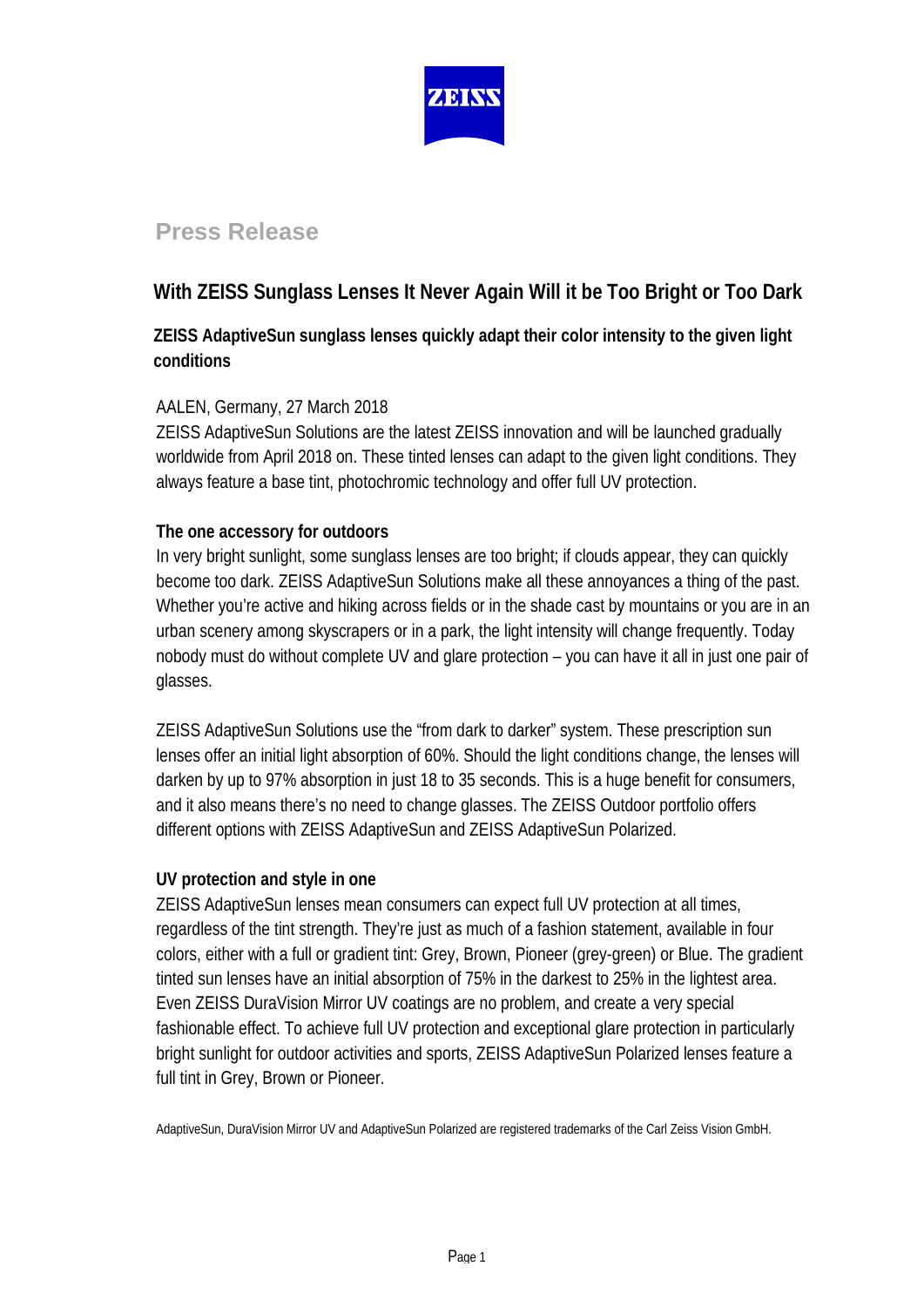

# **Press Release**

## **With ZEISS Sunglass Lenses It Never Again Will it be Too Bright or Too Dark**

## **ZEISS AdaptiveSun sunglass lenses quickly adapt their color intensity to the given light conditions**

### AALEN, Germany, 27 March 2018

ZEISS AdaptiveSun Solutions are the latest ZEISS innovation and will be launched gradually worldwide from April 2018 on. These tinted lenses can adapt to the given light conditions. They always feature a base tint, photochromic technology and offer full UV protection.

### **The one accessory for outdoors**

In very bright sunlight, some sunglass lenses are too bright; if clouds appear, they can quickly become too dark. ZEISS AdaptiveSun Solutions make all these annoyances a thing of the past. Whether you're active and hiking across fields or in the shade cast by mountains or you are in an urban scenery among skyscrapers or in a park, the light intensity will change frequently. Today nobody must do without complete UV and glare protection – you can have it all in just one pair of glasses.

ZEISS AdaptiveSun Solutions use the "from dark to darker" system. These prescription sun lenses offer an initial light absorption of 60%. Should the light conditions change, the lenses will darken by up to 97% absorption in just 18 to 35 seconds. This is a huge benefit for consumers, and it also means there's no need to change glasses. The ZEISS Outdoor portfolio offers different options with ZEISS AdaptiveSun and ZEISS AdaptiveSun Polarized.

#### **UV protection and style in one**

ZEISS AdaptiveSun lenses mean consumers can expect full UV protection at all times, regardless of the tint strength. They're just as much of a fashion statement, available in four colors, either with a full or gradient tint: Grey, Brown, Pioneer (grey-green) or Blue. The gradient tinted sun lenses have an initial absorption of 75% in the darkest to 25% in the lightest area. Even ZEISS DuraVision Mirror UV coatings are no problem, and create a very special fashionable effect. To achieve full UV protection and exceptional glare protection in particularly bright sunlight for outdoor activities and sports, ZEISS AdaptiveSun Polarized lenses feature a full tint in Grey, Brown or Pioneer.

AdaptiveSun, DuraVision Mirror UV and AdaptiveSun Polarized are registered trademarks of the Carl Zeiss Vision GmbH.